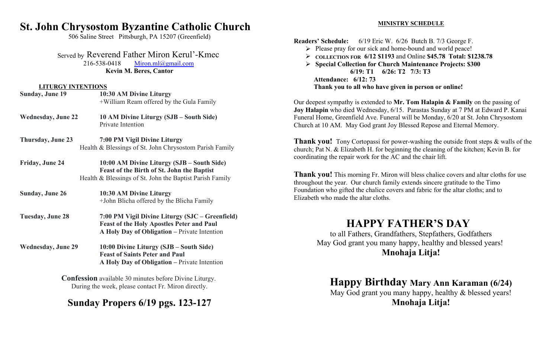### **St. John Chrysostom Byzantine Catholic Church**

506 Saline Street Pittsburgh, PA 15207 (Greenfield)

Served by Reverend Father Miron Kerul'-Kmec

216-538-0418 Miron.ml@gmail.com **Kevin M. Beres, Cantor**

#### **LITURGY INTENTIONS**

| <b>Sunday, June 19</b>    | 10:30 AM Divine Liturgy<br>+William Ream offered by the Gula Family                                                                                  |                  |
|---------------------------|------------------------------------------------------------------------------------------------------------------------------------------------------|------------------|
| <b>Wednesday, June 22</b> | 10 AM Divine Liturgy (SJB – South Side)<br>Private Intention                                                                                         | J<br>F<br>C      |
| Thursday, June 23         | 7:00 PM Vigil Divine Liturgy<br>Health & Blessings of St. John Chrysostom Parish Family                                                              | Ί<br>$\mathbf c$ |
| Friday, June 24           | 10:00 AM Divine Liturgy (SJB – South Side)<br>Feast of the Birth of St. John the Baptist<br>Health & Blessings of St. John the Baptist Parish Family | $\mathbf c$<br>t |
| <b>Sunday, June 26</b>    | 10:30 AM Divine Liturgy<br>+John Blicha offered by the Blicha Family                                                                                 | F<br>E           |
| <b>Tuesday, June 28</b>   | 7:00 PM Vigil Divine Liturgy (SJC – Greenfield)<br><b>Feast of the Holy Apostles Peter and Paul</b><br>A Holy Day of Obligation – Private Intention  |                  |
| <b>Wednesday, June 29</b> | 10:00 Divine Liturgy (SJB – South Side)<br><b>Feast of Saints Peter and Paul</b><br>A Holy Day of Obligation – Private Intention                     |                  |

**Confession** available 30 minutes before Divine Liturgy. During the week, please contact Fr. Miron directly.

# **Sunday Propers 6/19 pgs. 123-127**

#### **MINISTRY SCHEDULE**

**Readers' Schedule:** 6/19 Eric W. 6/26 Butch B. 7/3 George F.

- Please pray for our sick and home-bound and world peace!
- **COLLECTION FOR 6/12 \$1193** and Online **\$45.78 Total: \$1238.78**

 **Special Collection for Church Maintenance Projects: \$300 6/19: T1 6/26: T2 7/3: T3 Attendance: 6/12: 73 Thank you to all who have given in person or online!**

Our deepest sympathy is extended to **Mr. Tom Halapin & Family** on the passing of **Joy Halapin** who died Wednesday, 6/15. Parastas Sunday at 7 PM at Edward P. Kanai Funeral Home, Greenfield Ave. Funeral will be Monday, 6/20 at St. John Chrysostom Church at 10 AM. May God grant Joy Blessed Repose and Eternal Memory.

**Thank you!** Tony Cortopassi for power-washing the outside front steps & walls of the church; Pat N. & Elizabeth H. for beginning the cleaning of the kitchen; Kevin B. for coordinating the repair work for the AC and the chair lift.

**Thank you!** This morning Fr. Miron will bless chalice covers and altar cloths for use throughout the year. Our church family extends sincere gratitude to the Timo Foundation who gifted the chalice covers and fabric for the altar cloths; and to Elizabeth who made the altar cloths.

## **HAPPY FATHER'S DAY**

to all Fathers, Grandfathers, Stepfathers, Godfathers May God grant you many happy, healthy and blessed years! **Mnohaja Litja!**

# **Happy Birthday Mary Ann Karaman (6/24)**

May God grant you many happy, healthy & blessed years! **Mnohaja Litja!**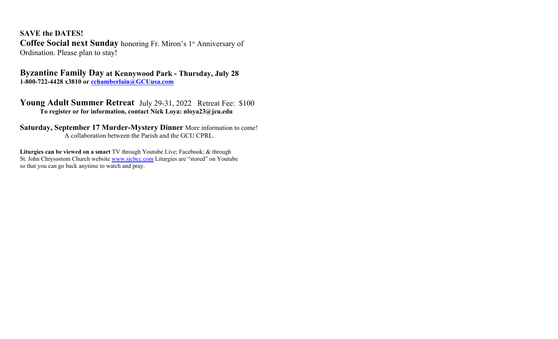**SAVE the DATES! Coffee Social next Sunday** honoring Fr. Miron's 1<sup>st</sup> Anniversary of Ordination. Please plan to stay!

**Byzantine Family Day at Kennywood Park - Thursday, July 28 1-800-722-4428 x3810 or cchamberlain@GCUusa.com**

Young Adult Summer Retreat July 29-31, 2022 Retreat Fee: \$100 **To register or for information, contact Nick Loya: nloya23@jcu.edu**

**Saturday, September 17 Murder-Mystery Dinner** More information to come! A collaboration between the Parish and the GCU CPRL.

**Liturgies can be viewed on a smart** TV through Youtube Live; Facebook; & through St. John Chrysostom Church website www.sjcbcc.com Liturgies are "stored" on Youtube so that you can go back anytime to watch and pray.